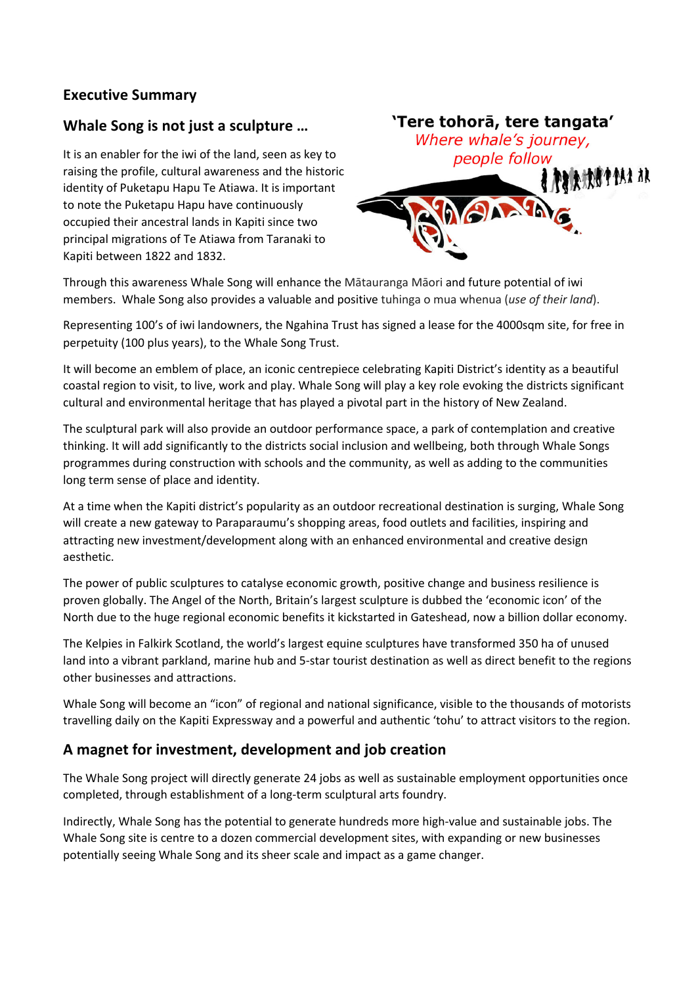## **Executive Summary**

## **Whale Song is not just a sculpture …**

It is an enabler for the iwi of the land, seen as key to raising the profile, cultural awareness and the historic identity of Puketapu Hapu Te Atiawa. It is important to note the Puketapu Hapu have continuously occupied their ancestral lands in Kapiti since two principal migrations of Te Atiawa from Taranaki to Kapiti between 1822 and 1832.



Through this awareness Whale Song will enhance the Mātauranga Māori and future potential of iwi members. Whale Song also provides a valuable and positive tuhinga o mua whenua (*use of their land*).

Representing 100's of iwi landowners, the Ngahina Trust has signed a lease for the 4000sqm site, for free in perpetuity (100 plus years), to the Whale Song Trust.

It will become an emblem of place, an iconic centrepiece celebrating Kapiti District's identity as a beautiful coastal region to visit, to live, work and play. Whale Song will play a key role evoking the districts significant cultural and environmental heritage that has played a pivotal part in the history of New Zealand.

The sculptural park will also provide an outdoor performance space, a park of contemplation and creative thinking. It will add significantly to the districts social inclusion and wellbeing, both through Whale Songs programmes during construction with schools and the community, as well as adding to the communities long term sense of place and identity.

At a time when the Kapiti district's popularity as an outdoor recreational destination is surging, Whale Song will create a new gateway to Paraparaumu's shopping areas, food outlets and facilities, inspiring and attracting new investment/development along with an enhanced environmental and creative design aesthetic.

The power of public sculptures to catalyse economic growth, positive change and business resilience is proven globally. The Angel of the North, Britain's largest sculpture is dubbed the 'economic icon' of the North due to the huge regional economic benefits it kickstarted in Gateshead, now a billion dollar economy.

The Kelpies in Falkirk Scotland, the world's largest equine sculptures have transformed 350 ha of unused land into a vibrant parkland, marine hub and 5-star tourist destination as well as direct benefit to the regions other businesses and attractions.

Whale Song will become an "icon" of regional and national significance, visible to the thousands of motorists travelling daily on the Kapiti Expressway and a powerful and authentic 'tohu' to attract visitors to the region.

## **A magnet for investment, development and job creation**

The Whale Song project will directly generate 24 jobs as well as sustainable employment opportunities once completed, through establishment of a long-term sculptural arts foundry.

Indirectly, Whale Song has the potential to generate hundreds more high-value and sustainable jobs. The Whale Song site is centre to a dozen commercial development sites, with expanding or new businesses potentially seeing Whale Song and its sheer scale and impact as a game changer.